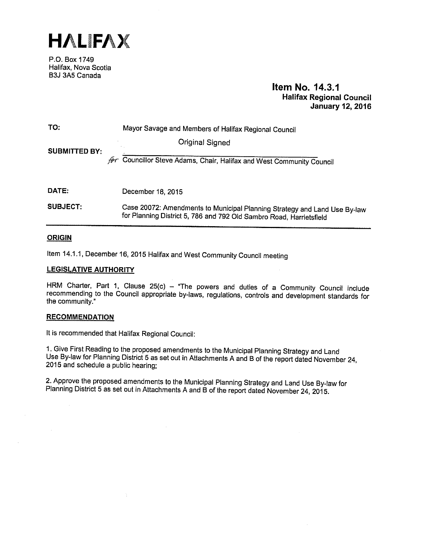

P.O. Box 1749 Halifax, Nova Scotia B3J 3A5 Canada

# Item No. 14.3.1 Halifax Regional Council January 12, 2016

| TO:                  | Mayor Savage and Members of Halifax Regional Council                                                                                             |
|----------------------|--------------------------------------------------------------------------------------------------------------------------------------------------|
| <b>SUBMITTED BY:</b> | Original Signed<br>$\sim$                                                                                                                        |
|                      | Councillor Steve Adams, Chair, Halifax and West Community Council                                                                                |
|                      |                                                                                                                                                  |
| DATE:                | December 18, 2015                                                                                                                                |
| <b>SUBJECT:</b>      | Case 20072: Amendments to Municipal Planning Strategy and Land Use By-law<br>for Planning District 5, 786 and 792 Old Sambro Road, Harrietsfield |

### **ORIGIN**

Item 14.1.1, December 16, 2015 Halifax and West Community Council meeting

### LEGISLATIVE AUTHORITY

HRM Charter, Part 1, Clause 25(c) - "The powers and duties of a Community Council include recommending to the Council appropriate by-laws, regulations, controls and development standards for the community."

### **RECOMMENDATION**

It is recommended that Halifax Regional Council:

Ą.

1. Give First Reading to the proposed amendments to the Municipal Planning Strategy and Land Use By-law for Planning District <sup>5</sup> as set out in Attachments <sup>A</sup> and <sup>B</sup> of the report dated November 24, <sup>2015</sup> and schedule <sup>a</sup> public hearing;

2. Approve the proposed amendments to the Municipal Planning Strategy and Land Use By-law for Planning District 5 as set out in Attachments A and B of the report dated November 24, 2015.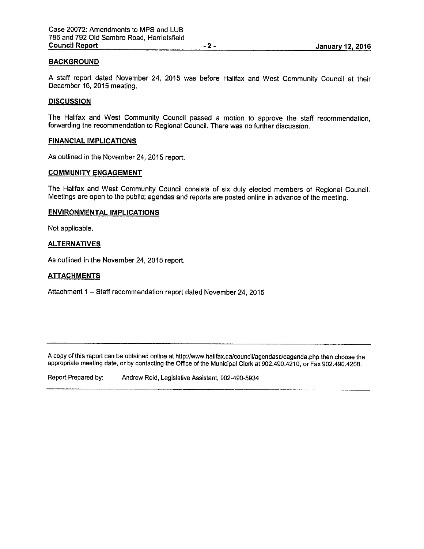### BACKGROUND

<sup>A</sup> staff repor<sup>t</sup> dated November 24, <sup>2015</sup> was before Halifax and West Community Council at their December 16, 2015 meeting.

### **DISCUSSION**

The Halifax and West Community Council passed <sup>a</sup> motion to approve the staff recommendation, forwarding the recommendation to Regional Council. There was no further discussion.

#### FINANCIAL IMPLICATIONS

As outlined in the November 24, 2015 report.

### COMMUNITY ENGAGEMENT

The Halifax and West Community Council consists of six duly elected members of Regional Council. Meetings are open to the public; agendas and reports are posted online in advance of the meeting.

#### ENVIRONMENTAL IMPLICATIONS

Not applicable.

### **ALTERNATIVES**

As outlined in the November 24, 2015 report.

#### ATTACHMENTS

Attachment 1 — Staff recommendation repor<sup>t</sup> dated November 24, 2015

A copy of this report can be obtained online at http://www.halifax.ca/council/agendasc/cagenda.php then choose the appropriate meeting date, or by contacting the Office of the Municipal Clerk at 902.490.4210, or Fax 902.490.4208.

Report Prepared by: Andrew Reid, Legislative Assistant, 902-490-5934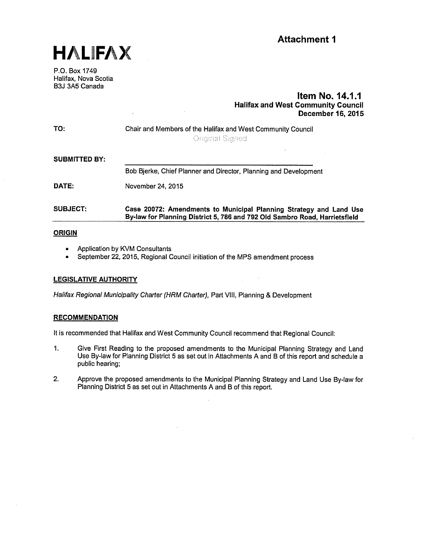



P.O. Box 1749 Halifax, Nova Scotia B3J 3A5 Canada

# Item No. 14.1.1 Halifax and West Community Council December 16, 2015

| TO:                  | Chair and Members of the Halifax and West Community Council<br><b>Onginal Signed</b>                                                             |
|----------------------|--------------------------------------------------------------------------------------------------------------------------------------------------|
| <b>SUBMITTED BY:</b> |                                                                                                                                                  |
|                      | Bob Bjerke, Chief Planner and Director, Planning and Development                                                                                 |
| DATE:                | November 24, 2015                                                                                                                                |
| <b>SUBJECT:</b>      | Case 20072: Amendments to Municipal Planning Strategy and Land Use<br>By-law for Planning District 5, 786 and 792 Old Sambro Road, Harrietsfield |

### **ORIGIN**

- Application by KVM Consultants
- September 22, 2015, Regional Council initiation of the MPS amendment process

### LEGISLATIVE AUTHORITY

Halifax Regional Municipality Charter (HRM Charter), Part VIII, Planning & Development

### **RECOMMENDATION**

It is recommended that Halifax and West Community Council recommend that Regional Council:

- 1. Give First Reading to the proposed amendments to the Municipal Planning Strategy and Land Use By-law for Planning District 5 as set out in Attachments A and B of this report and schedule a public hearing;
- 2. Approve the proposed amendments to the Municipal Planning Strategy and Land Use By-law for Planning District 5 as set out in Attachments A and <sup>B</sup> of this report.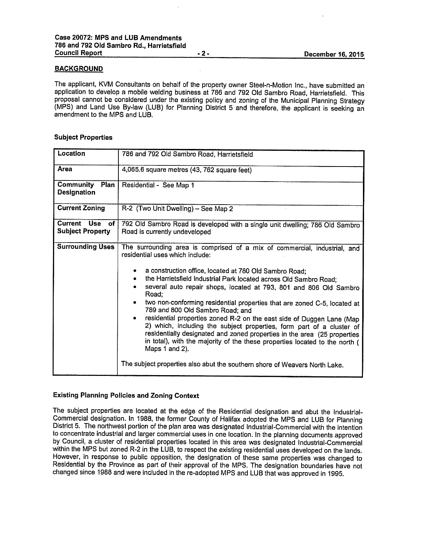### **BACKGROUND**

The applicant, KVM Consultants on behalf of the property owner Steel-n-Motion Inc., have submitted an application to develop <sup>a</sup> mobile welding business at <sup>786</sup> and <sup>792</sup> Old Sambro Road, Harrietsfleld. This proposal cannot be considered under the existing policy and zoning of the Municipal Planning Strategy (MPS) and Land Use By-law (LUB) for Planning District <sup>5</sup> and therefore, the applicant is seeking an amendment to the MPS and LUB.

### Subject Properties

| Location                                     | 786 and 792 Old Sambro Road, Harrietsfield                                                                                                                                                                                                                                                                                                                                                                                                                                                                                                                                                                                                                                                                                                                                                                                                                                       |
|----------------------------------------------|----------------------------------------------------------------------------------------------------------------------------------------------------------------------------------------------------------------------------------------------------------------------------------------------------------------------------------------------------------------------------------------------------------------------------------------------------------------------------------------------------------------------------------------------------------------------------------------------------------------------------------------------------------------------------------------------------------------------------------------------------------------------------------------------------------------------------------------------------------------------------------|
| Area                                         | 4,065.6 square metres (43, 762 square feet)                                                                                                                                                                                                                                                                                                                                                                                                                                                                                                                                                                                                                                                                                                                                                                                                                                      |
| Community<br>Plan<br>Designation             | Residential - See Map 1                                                                                                                                                                                                                                                                                                                                                                                                                                                                                                                                                                                                                                                                                                                                                                                                                                                          |
| <b>Current Zoning</b>                        | R-2 (Two Unit Dwelling) - See Map 2                                                                                                                                                                                                                                                                                                                                                                                                                                                                                                                                                                                                                                                                                                                                                                                                                                              |
| Current Use<br>оf<br><b>Subject Property</b> | 792 Old Sambro Road is developed with a single unit dwelling; 786 Old Sambro<br>Road is currently undeveloped                                                                                                                                                                                                                                                                                                                                                                                                                                                                                                                                                                                                                                                                                                                                                                    |
| <b>Surrounding Uses</b>                      | The surrounding area is comprised of a mix of commercial, industrial, and<br>residential uses which include:<br>a construction office, located at 780 Old Sambro Road;<br>the Harrietsfield Industrial Park located across Old Sambro Road;<br>$\bullet$<br>several auto repair shops, located at 793, 801 and 806 Old Sambro<br>Road:<br>two non-conforming residential properties that are zoned C-5, located at<br>789 and 800 Old Sambro Road; and<br>residential properties zoned R-2 on the east side of Duggen Lane (Map<br>$\bullet$<br>2) which, including the subject properties, form part of a cluster of<br>residentially designated and zoned properties in the area (25 properties<br>in total), with the majority of the these properties located to the north (<br>Maps 1 and 2).<br>The subject properties also abut the southern shore of Weavers North Lake. |

### Existing Planning Policies and Zoning Context

The subject properties are located at the edge of the Residential designation and abut the Industrial-Commercial designation. In 1988, the former County of Halifax adopted the MPS and LUB for Planning District 5. The northwest portion of the <sup>p</sup>lan area was designated Industrial-Commercial with the intention to concentrate industrial and larger commercial uses in one location. In the <sup>p</sup>lanning documents approved by Council, <sup>a</sup> cluster of residential properties located in this area was designated Industrial-Commercial within the MPS but zoned R-2 in the LUB, to respect the existing residential uses developed on the lands. However, in response to public opposition, the designation of these same properties was changed to Residential by the Province as part of their approval of the MPS. The designation boundaries have not changed since <sup>1988</sup> and were included in the re-adopted MPS and LUB that was approved in 1995.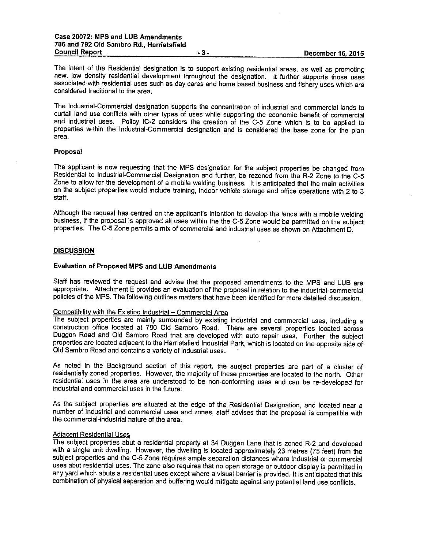The intent of the Residential designation is to support existing residential areas, as well as promoting new, low density residential development throughout the designation. It further supports those uses associated with residential uses such as day cares and home based business and fishery uses which are considered traditional to the area.

The Industrial-Commercial designation supports the concentration of industrial and commercial lands to curtail land use conflicts with other types of uses while supporting the economic benefit of commercial and industrial uses. Policy IC-2 considers the creation of the C-5 Zone which is to be applied to properties within the Industrial-Commercial designation and is considered the base zone for the <sup>p</sup>lan area.

#### Proposal

The applicant is now requesting that the MPS designation for the subject properties be changed from Residential to Industrial-Commercial Designation and further, be rezoned from the R-2 Zone to the C-S Zone to allow for the development of <sup>a</sup> mobile welding business. It is anticipated that the main activities on the subject properties would include training, indoor vehicle storage and office operations with <sup>2</sup> to <sup>3</sup> staff.

Although the request has centred on the applicant's intention to develop the lands with <sup>a</sup> mobile welding business, if the proposal is approved all uses within the the C-S Zone would be permitted on the subject properties. The C-5 Zone permits <sup>a</sup> mix of commercial and industrial uses as shown on Attachment D.

#### **DISCUSSION**

#### Evaluation of Proposed MPS and LUB Amendments

Staff has reviewed the request and advise that the proposed amendments to the MPS and LUB are appropriate. Attachment <sup>E</sup> provides an evaluation of the proposal in relation to the industrial-commercial policies of the MPS. The following outlines matters that have been identified for more detailed discussion.

### Compatibility with the Existing Industrial — Commercial Area

The subject properties are mainly surrounded by existing industrial and commercial uses, including <sup>a</sup> construction office located at <sup>780</sup> Old Sambro Road. There are several properties located across Duggen Road and Old Sambro Road that are developed with auto repair uses. Further, the subject properties are located adjacent to the Harrietsfield Industrial Park, which is located on the opposite side of Old Sambro Road and contains <sup>a</sup> variety of industrial uses.

As noted in the Background section of this report, the subject properties are part of <sup>a</sup> cluster of residentially zoned properties. However, the majority of these properties are located to the north, Other residential uses in the area are understood to be non-conforming uses and can be re-developed for industrial and commercial uses in the future.

As the subject properties are situated at the edge of the Residential Designation, and located near <sup>a</sup> number of industrial and commercial uses and zones, staff advises that the proposal is compatible with the commercial-industrial nature of the area.

#### Adiacent Residential Uses

The subject properties abut <sup>a</sup> residential property at <sup>34</sup> Duggen Lane that is zoned R-2 and developed with <sup>a</sup> single unit dwelling. However, the dwelling is located approximately <sup>23</sup> metres (75 feet) from the subject properties and the C-5 Zone requires ample separation distances where industrial or commercial uses abut residential uses. The zone also requires that no open storage or outdoor display is permitted in any yard which abuts <sup>a</sup> residential uses except where <sup>a</sup> visual barrier is provided. It is anticipated that this combination of <sup>p</sup>hysical separation and buffering would mitigate against any potential land use conflicts.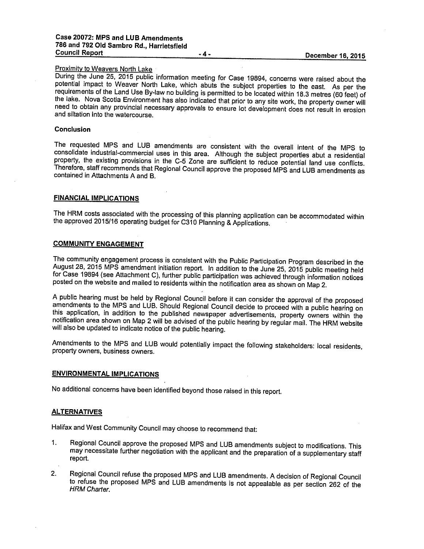### **Proximity to Weavers North Lake**

During the June 25, <sup>2015</sup> public information meeting for Case 19894, concerns were raised about the potential impact to Weaver North Lake, which abuts the subject properties to the east. As per the requirements of the Land Use By-law no building is permitted to be located within 18.3 metres (60 feet) of the lake. Nova Scotia Environment has also indicated that prior to any site work, the property owner will need to obtain any provincial necessary approvals to ensure lot development does not result in erosion and siltation into the watercourse.

### Conclusion

The requested MPS and LUB amendments are consistent with the overall intent of the MPS to consolidate industrial-commercial uses in this area. Although the subject properties abut <sup>a</sup> residential property, the existing provisions in the C-S Zone are sufficient to reduce potential land use conflicts. Therefore, staff recommends that Regional Council approve the proposed MPS and LUB amendments as contained in Attachments <sup>A</sup> and B.

### FINANCIAL IMPLICATIONS

The HRM costs associated with the processing of this <sup>p</sup>lanning application can be accommodated within the approved 2015/16 operating budget for C310 Planning & Applications.

### COMMUNITY ENGAGEMENT

The community engagement process is consistent with the Public Participation Program described in the August 28, <sup>2015</sup> MPS amendment initiation report. In addition to the June 25, <sup>2015</sup> public meeting held for Case <sup>19894</sup> (see Attachment C), further public participation was achieved through information notices posted on the website and mailed to residents within the notification area as shown on Map 2.

<sup>A</sup> public hearing must be held by Regional Council before it can consider the approval of the proposed amendments to the MPS and LUB. Should Regional Council decide to proceed with <sup>a</sup> public hearing on this application, in addition to the published newspaper advertisements, property owners within the notification area shown on Map <sup>2</sup> will be advised of the public hearing by regular mail. The HRM website will also be updated to indicate notice of the public hearing.

Amendments to the MPS and LUB would potentially impact the following stakeholders: local residents, property owners, business owners.

### ENVIRONMENTAL IMPLICATIONS

No additional concerns have been identified beyond those raised in this report.

#### **ALTERNATIVES**

Halifax and West Community Council may choose to recommend that:

- 1. Regional Council approve the proposed MPS and LUB amendments subject to modifications. This may necessitate further negotiation with the applicant and the preparation of <sup>a</sup> supplementary staff report.
- 2. Regional Council refuse the proposed MPS and LUB amendments. <sup>A</sup> decision of Regional Council to refuse the proposed MPS and LUB amendments is not appealable as per section <sup>262</sup> of the HRM Charter.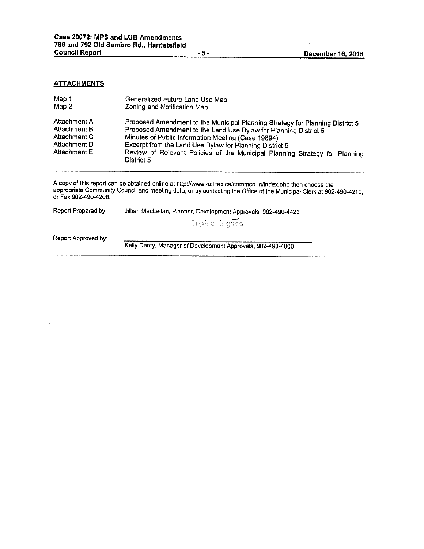### **ATTACHMENTS**

| Map 1                                                                        | Generalized Future Land Use Map                                                                                                                                                                                                                                                                                                                                 |
|------------------------------------------------------------------------------|-----------------------------------------------------------------------------------------------------------------------------------------------------------------------------------------------------------------------------------------------------------------------------------------------------------------------------------------------------------------|
| Map 2                                                                        | Zoning and Notification Map                                                                                                                                                                                                                                                                                                                                     |
| Attachment A<br>Attachment B<br>Attachment C<br>Attachment D<br>Attachment E | Proposed Amendment to the Municipal Planning Strategy for Planning District 5<br>Proposed Amendment to the Land Use Bylaw for Planning District 5<br>Minutes of Public Information Meeting (Case 19894)<br>Excerpt from the Land Use Bylaw for Planning District 5<br>Review of Relevant Policies of the Municipal Planning Strategy for Planning<br>District 5 |

<sup>A</sup> copy of this report can be obtained online at http:llwww.halifax.ca/commcoun/index.php then choose the appropriate Community Council and meeting date, or by contacting the Office of the Municipal Clerk at 902-490-4210 or Fax 9024904208.

Report Prepared by: Jillian MacLellan, Planner, Development Approvals, 902-490-4423

Original Signed

Report Approved by:

Kelly Denty, Manager of Development Approvals, 902-490-4800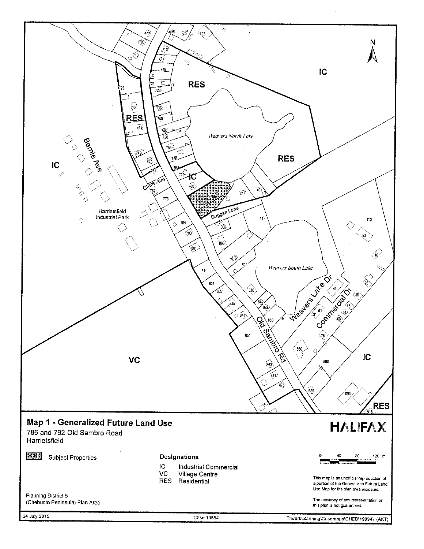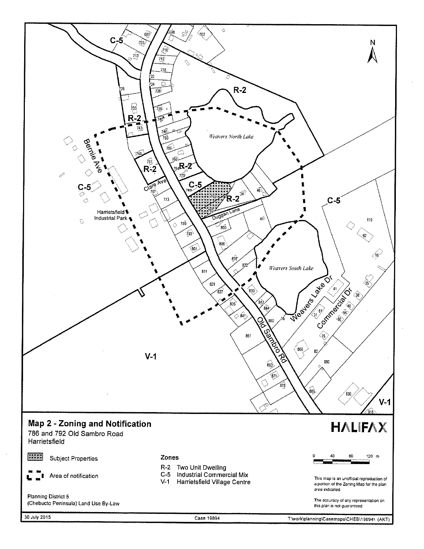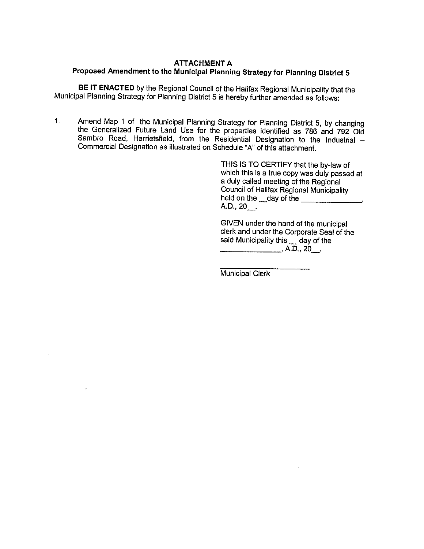# **ATTACHMENT A** Proposed Amendment to the Municipal Planning Strategy for Planning District <sup>5</sup>

BE IT ENACTED by the Regional Council of the Halifax Regional Municipality that the Municipal Planning Strategy for Planning District <sup>5</sup> is hereby further amended as follows:

 $1<sub>1</sub>$ Amend Map <sup>1</sup> of the Municipal Planning Strategy for Planning District 5, by changing the Generalized Future Land Use for the properties identified as <sup>786</sup> and <sup>792</sup> Old Sambro Road, Harrietsfield, from the Residential Designation to the Industrial — Commercial Designation as illustrated on Schedule "A" of this attachment.

> THIS IS TO CERTIFY that the by-law of which this is <sup>a</sup> true copy was duly passed at <sup>a</sup> duly called meeting of the Regional Council of Halifax Regional Municipality held on the \_\_day of the A.D., 20\_.

GIVEN under the hand of the municipal clerk and under the Corporate Seal of the said Municipality this \_ day of the  $A.D., 20$ .

Municipal Clerk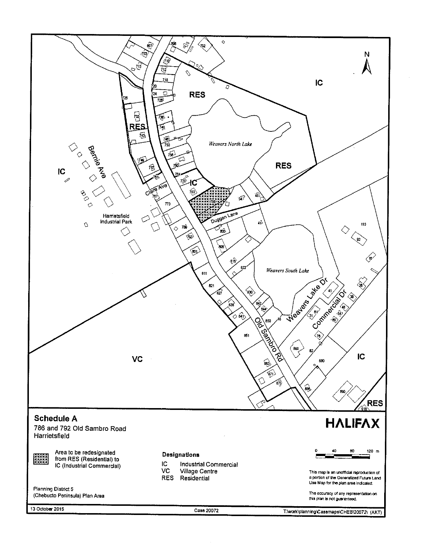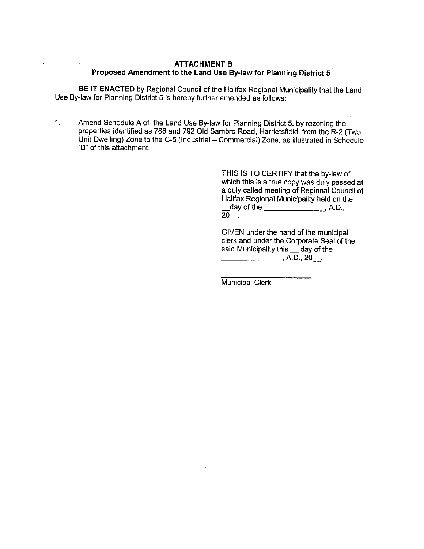### **ATTACHMENT B** Proposed Amendment to the Land Use By-law for Planning District <sup>5</sup>

BE IT ENACTED by Regional Council of the Halifax Regional Municipality that the Land Use By-law for Planning District 5 is hereby further amended as follows:

1. Amend Schedule A of the Land Use By-law for Planning District 5, by rezoning the properties identified as 786 and 792 Old Sambro Road, Harrietsfield, from the R-2 (Two Unit Dwelling) Zone to the C-5 (Industrial - Commercial) Zone, as illustrated in Schedule "B" of this attachment.

> THIS IS TO CERTIFY that the by-law of which this is a true copy was duly passed at a duly called meeting of Regional Council of Halifax Regional Municipality held on the day of the \_\_\_\_\_\_\_\_\_\_\_\_\_\_\_\_\_\_, A.D.,  $\overline{20}$  .

GIVEN under the hand of the municipal clerk and under the Corporate Seal of the said Municipality this \_\_ day of the  $A.D., 20.$ 

Municipal Clerk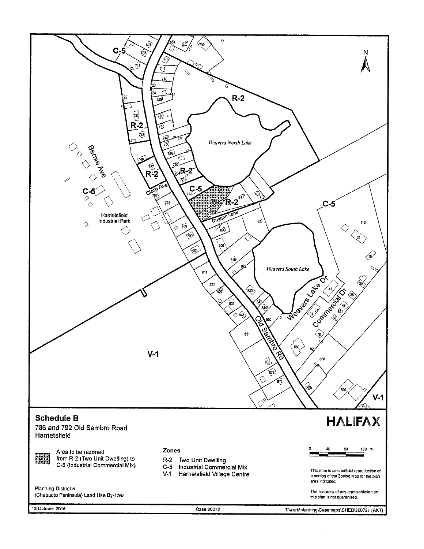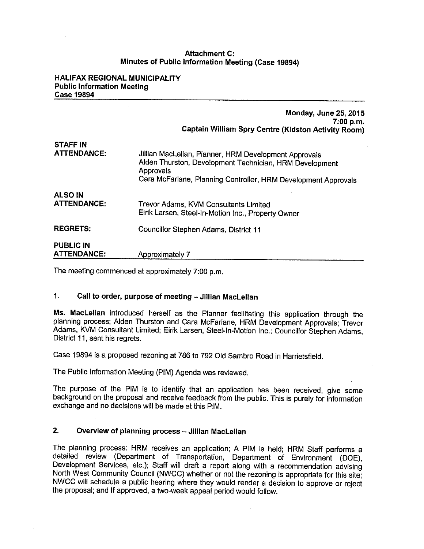## Attachment C: Minutes of Public Information Meeting (Case 19894)

### HALIFAX REGIONAL MUNICIPALITY Public Information Meeting Case 19894

|                                        | <b>Monday, June 25, 2015</b><br>7:00 p.m.<br><b>Captain William Spry Centre (Kidston Activity Room)</b>                                                                                         |
|----------------------------------------|-------------------------------------------------------------------------------------------------------------------------------------------------------------------------------------------------|
| <b>STAFF IN</b><br><b>ATTENDANCE:</b>  | Jillian MacLellan, Planner, HRM Development Approvals<br>Alden Thurston, Development Technician, HRM Development<br>Approvals<br>Cara McFarlane, Planning Controller, HRM Development Approvals |
| <b>ALSO IN</b><br><b>ATTENDANCE:</b>   | Trevor Adams, KVM Consultants Limited<br>Eirik Larsen, Steel-In-Motion Inc., Property Owner                                                                                                     |
| <b>REGRETS:</b>                        | Councillor Stephen Adams, District 11                                                                                                                                                           |
| <b>PUBLIC IN</b><br><b>ATTENDANCE:</b> | Approximately 7                                                                                                                                                                                 |

The meeting commenced at approximately 7:00 p.m.

# 1. Call to order, purpose of meeting — Jillian MacLellan

Ms. MacLellan introduced herself as the Planner facilitating this application through the <sup>p</sup>lanning process; Alden Thurston and Cars McFarlane, HRM Development Approvals; Trevor Adams, KVM Consultant Limited; Eirik Larsen, Steel-In-Motion Inc.; Councillor Stephen Adams, District 11, sent his regrets.

Case 19894 is a proposed rezoning at 786 to 792 Old Sambro Road in Harrietsfield.

The Public Information Meeting (PIM) Agenda was reviewed.

The purpose of the PIM is to identify that an application has been received, <sup>g</sup>ive some background on the proposal and receive feedback from the public. This is purely for information exchange and no decisions will be made at this PIM.

## 2. Overview of planning process — Jillian MacLellan

The <sup>p</sup>lanning process: FIRM receives an application; <sup>A</sup> PIM is held; HRM Staff performs <sup>a</sup> detailed review (Department of Transportation, Department of Environment (DOE), Development Services, etc.); Staff will draft <sup>a</sup> report along with <sup>a</sup> recommendation advising North West Community Council (NWCC) whether or not the rezoning is appropriate for this site; NWCC will schedule <sup>a</sup> public hearing where they would render <sup>a</sup> decision to approve or relect the proposal; and If approved, <sup>a</sup> two-week appeal period would follow.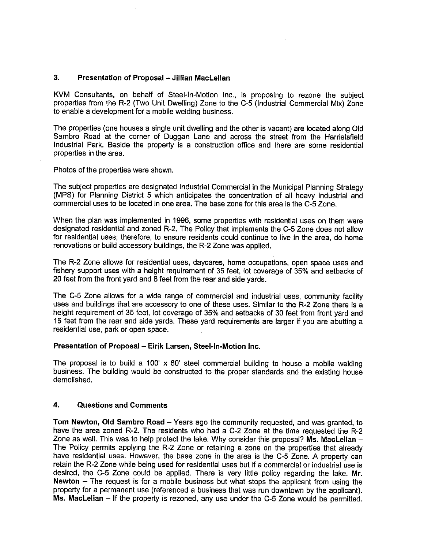## 3. Presentation of Proposal — Jillian MacLellan

KVM Consultants, on behalf of Steel-In-Motion Inc., is proposing to rezone the subject properties from the R-2 (Two Unit Dwelling) Zone to the C-5 (Industrial Commercial Mix) Zone to enable a development for a mobile welding business.

The properties (one houses a single unit dwelling and the other is vacant) are located along Old Sambro Road at the corner of Duggan Lane and across the street from the Harrietsfield Industrial Park. Beside the property is a construction office and there are some residential properties in the area.

Photos of the properties were shown.

The subject properties are designated Industrial Commercial in the Municipal Planning Strategy (MPS) for Planning District 5 which anticipates the concentration of all heavy industrial and commercial uses to be located in one area. The base zone for this area is the 0-5 Zone.

When the plan was implemented in 1996, some properties with residential uses on them were designated residential and zoned R-2. The Policy that implements the C-S Zone does not allow for residential uses; therefore, to ensure residents could continue to live in the area, do home renovations or build accessory buildings, the R-2 Zone was applied.

The R-2 Zone allows for residential uses, daycares, home occupations, open space uses and fishery support uses with a height requirement of 35 feet, lot coverage of 35% and setbacks of 20 feet from the front yard and 8 feet from the rear and side yards.

The C-5 Zone allows for a wide range of commercial and industrial uses, community facility uses and buildings that are accessory to one of these uses. Similar to the R-2 Zone there is a height requirement of 35 feet, lot coverage of 35% and setbacks of 30 feet from front yard and 15 feet from the rear and side yards. These yard requirements are larger if you are abutting a residential use, park or open space.

### Presentation of Proposal — Eirik Larsen, Steel-In-Motion Inc.

The proposal is to build a 100' x 60' steel commercial building to house a mobile welding business. The building would be constructed to the proper standards and the existing house demolished.

### 4. Questions and Comments

Tom Newton, Old Sambro Road — Years ago the community requested, and was granted, to have the area zoned R-2. The residents who had a C-2 Zone at the time requested the R-2 Zone as well. This was to help protect the lake. Why consider this proposal? Ms. MacLellan  $-$ The Policy permits applying the R-2 Zone or retaining a zone on the properties that already have residential uses. However, the base zone in the area is the C-5 Zone. A property can retain the R-2 Zone while being used for residential uses but if a commercial or industrial use is desired, the C-5 Zone could be applied. There is very little policy regarding the lake. Mr. Newton — The request is for a mobile business but what stops the applicant from using the property for a permanent use (referenced a business that was run downtown by the applicant). Ms. MacLellan — If the property is rezoned, any use under the C-S Zone would be permitted.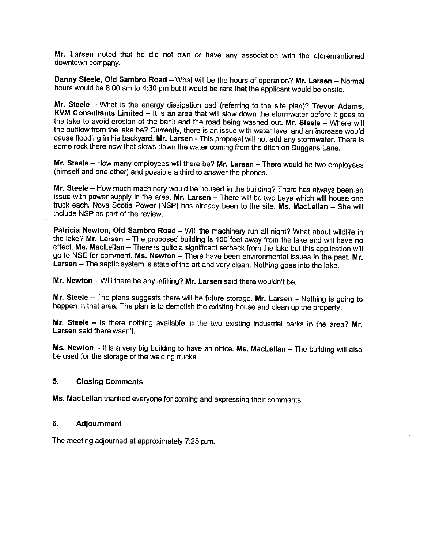Mr. Larsen noted that he did not own or have any association with the aforementioned downtown company.

Danny Steele, Old Sambro Road — What will be the hours of operation? Mr. Larsen — Normal hours would be 8:00 am to 4:30 pm but it would be rare that the applicant would be onsite.

Mr. Steele – What is the energy dissipation pad (referring to the site plan)? Trevor Adams, KVM Consultants Limited — It is an area that will slow down the stormwater before it goes to the lake to avoid erosion of the bank and the road being washed out. Mr. Steele — Where will the outflow from the lake be? Currently, there is an issue with water level and an increase would cause flooding in his backyard. Mr. Larsen - This proposal will not add any stormwater. There is some rock there now that slows down the water coming from the ditch on Duggans Lane.

Mr. Steele  $-$  How many employees will there be? Mr. Larsen  $-$  There would be two employees (himself and one other) and possible <sup>a</sup> third to answer the <sup>p</sup>hones.

Mr. Steele — How much machinery would be housed in the building? There has always been.an issue with power supply in the area. Mr. Larsen — There will be two bays which will house one truck each, Nova Scotia Power (NSP) has already been to the site. Ms. MacLellan — She will include NSP as part of the review.

Patricia Newton, Old Sambro Road - Will the machinery run all night? What about wildlife in the lake? Mr. Larsen — The proposed building is <sup>100</sup> feet away from the lake and will have no effect. Ms. MacLellan —There is quite <sup>a</sup> significant setback from the lake but this application will go to NSE for comment. Ms. Newton — There have been environmental issues in the past. Mr. Larsen — The septic system is state of the art and very clean. Nothing goes into the lake.

Mr. Newton — Will there be any infilling? Mr. Larsen said there wouldn't be.

Mr. Steele – The plans suggests there will be future storage. Mr. Larsen – Nothing is going to happen in that area. The <sup>p</sup>lan is to demolish the existing house and clean up the property.

Mr. Steele — Is there nothing available in the two existing industrial parks in the area? Mr. Larsen said there wasn't.

Ms. Newton — It is <sup>a</sup> very big building to have an office. Ms. MacLellan — The building will also be used for the storage of the welding trucks.

## 5. Closing Comments

Ms. MacLellan thanked everyone for coming and expressing their comments.

## 6. Adjournment

The meeting adjourned at approximately 7:25 p.m.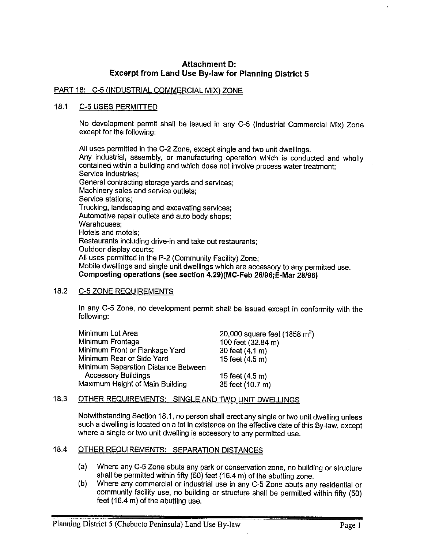# Attachment D: Excerpt from Land Use By-law for Planning District <sup>5</sup>

## PART 18: C-5 (INDUSTRIAL COMMERCIAL MIX) ZONE

## 18.1 C-5 USES PERMITTED

No development permit shall be issued in any C-S (Industrial Commercial Mix) Zone except for the following:

All uses permitted in the C-2 Zone, except single and two unit dwellings. Any industrial, assembly, or manufacturing operation which is conducted and wholly contained within <sup>a</sup> building and which does not involve process water treatment; Service industries; General contracting storage yards and services; Machinery sales and service outlets; Service stations; Trucking, landscaping and excavating services; Automotive repair outlets and auto body shops; Warehouses; Hotels and motels; Restaurants including drive-in and take out restaurants; Outdoor display courts; All uses permitted in the P-2 (Community Facility) Zone; Mobile dwellings and single unit dwellings which are accessory to any permitted use. Camposting operations (see section 4.29)(MC-Feb 26196; E-Mar 28(96)

## 18.2 C-S ZONE REQUIREMENTS

In any C-S Zone, no development permit shall be issued except in conformity with the following:

| Minimum Lot Area                    | 20,000 square feet (1858 $m^2$ ) |
|-------------------------------------|----------------------------------|
| Minimum Frontage                    | 100 feet (32.84 m)               |
| Minimum Front or Flankage Yard      | 30 feet (4.1 m)                  |
| Minimum Rear or Side Yard           | 15 feet (4.5 m)                  |
| Minimum Separation Distance Between |                                  |
| <b>Accessory Buildings</b>          | 15 feet (4.5 m)                  |
| Maximum Height of Main Building     | 35 feet (10.7 m)                 |

## 18.3 OTHER REQUIREMENTS: SINGLE AND TWO UNIT DWELLINGS

Notwithstanding Section 18.1, no person shall erect any single or two unit dwelling unless such <sup>a</sup> dwelling is located on <sup>a</sup> lot in existence on the effective date of this By-law, except where <sup>a</sup> single or two unit dwelling is accessory to any permitted use.

# 18.4 OTHER REQUIREMENTS: SEPARATION DISTANCES

- (a) Where any C-S Zone abuts any par<sup>k</sup> or conservation zone, no building or structure shall be permitted within fifty (50) feet (16,4 m) of the abutting zone.
- (b) Where any commercial or industrial use in any C-5 Zone abuts any residential or community facility use, no building or structure shall be permitted within fifty (50) feet (16.4 m) of the abutting use.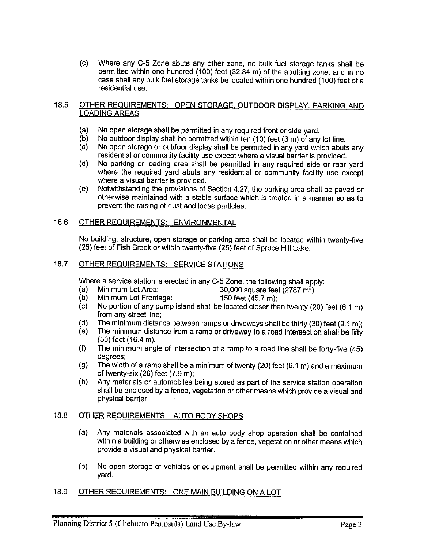(c) Where any C-5 Zone abuts any other zone, no bulk fuel storage tanks shall be permitted within one hundred (100) feet (32.84 m) of the abutting zone, and in no case shall any bulk fuel storage tanks be located within one hundred (100) feet of <sup>a</sup> residential use.

## 18.5 OTHER REQUIREMENTS: OPEN STORAGE, OUTDOOR DISPLAY, PARKING AND LOADING AREAS

- (a) No open storage shall be permitted in any required front or side yard.<br>(b) No outdoor display shall be permitted within ten (10) feet (3 m) of any
- No outdoor display shall be permitted within ten  $(10)$  feet  $(3 \text{ m})$  of any lot line.
- (c) No open storage or outdoor display shall be permitted in any yard which abuts any residential or community facility use except where <sup>a</sup> visual barrier is provided.
- (d) No parking or loading area shall be permitted in any required side or rear yard where the required yard abuts any residential or community facility use except where <sup>a</sup> visual barrier is provided.
- (e) Notwithstanding the provisions of Section 4.27, the parking area shall be paved or otherwise maintained with <sup>a</sup> stable surface which is treated in <sup>a</sup> manner so as to prevent the raising of dust and loose particles.

## 18.6 OTHER REQUIREMENTS: ENVIRONMENTAL

No building, structure, open storage or parking area shall be located within twenty-five (25) feet of Fish Brook or within twenty-five (25) feet of Spruce Hill Lake.

## 18.7 OTHER REQUIREMENTS: SERVICE STATIONS

Where a service station is erected in any C-5 Zone, the following shall apply:<br>(a) Minimum Lot Area:  $30.000$  square feet (2787 m<sup>2</sup>):

- (a) Minimum Lot Area:  $30,000$  square feet  $(2787 \text{ m}^2)$ ;<br>(b) Minimum Lot Frontage:  $150$  feet (45.7 m);
	-
- (c) No portion of any pump island shall be located closer than twenty (20) feet (6.1 m) from any street line;
- (d) The minimum distance between ramps or driveways shall be thirty (30) feet (9.1 m);
- (e) The minimum distance from <sup>a</sup> ramp or driveway to <sup>a</sup> road intersection shall be fifty (50) feet (16.4 m);
- (f) The minimum angle of intersection of <sup>a</sup> ramp to <sup>a</sup> road line shall be forty-five (45) degrees;
- (g) The width of <sup>a</sup> ramp shall be <sup>a</sup> minimum of twenty (20) feet (6.1 m) and <sup>a</sup> maximum of twenty-six (26) feet (7.9 m);
- (h) Any materials or automobiles being stored as part of the service station operation shall be enclosed by <sup>a</sup> fence, vegetation or other means which provide <sup>a</sup> visual and physical barrier.

## 18.8 OTHER REQUIREMENTS: AUTO BODY SHOPS

- (a) Any materials associated with an auto body shop operation shall be contained within <sup>a</sup> building or otherwise enclosed by <sup>a</sup> fence, vegetation or other means which provide <sup>a</sup> visual and physical barrier.
- (b) No open storage of vehicles or equipment shall be permitted within any required yard.

# 18.9 OTHER REQUIREMENTS: ONE MAIN BUILDING ON A LOT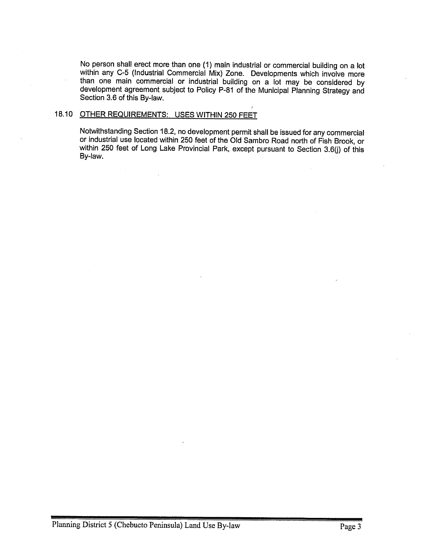No person shall erect more than one (1) main industrial or commercial building on <sup>a</sup> lot within any C-5 (Industrial Commercial Mix) Zone. Developments which involve more than one main commercial or industrial building on a lot may be considered by development agreement subiect to Policy P-81 of the Municipal Planning Strategy and Section 3.6 of this By-law

## 18.10 OTHER REQUIREMENTS: USES WITHIN 250 FEET

 $\sim$ 

Notwithstanding Section 18.2, no development permit shall be issued for any commercial or industrial use located within <sup>250</sup> feet of the Old Sambro Road north of Fish Brook, or within 250 feet of Long Lake Provincial Park, except pursuant to Section 3.6(j) of this By-law.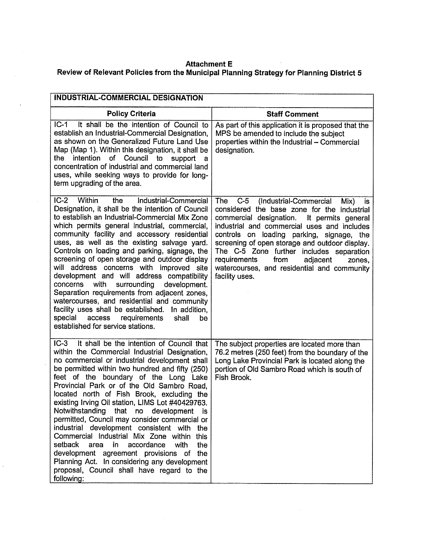## Attachment E

# Review of Relevant Policies from the Municipal Planning Strategy for Planning District 5

| INDUSTRIAL-COMMERCIAL DESIGNATION                                                                                                                                                                                                                                                                                                                                                                                                                                                                                                                                                                                                                                                                                                                                                                                 |                                                                                                                                                                                                                                                                                                                                                                                                                                                            |
|-------------------------------------------------------------------------------------------------------------------------------------------------------------------------------------------------------------------------------------------------------------------------------------------------------------------------------------------------------------------------------------------------------------------------------------------------------------------------------------------------------------------------------------------------------------------------------------------------------------------------------------------------------------------------------------------------------------------------------------------------------------------------------------------------------------------|------------------------------------------------------------------------------------------------------------------------------------------------------------------------------------------------------------------------------------------------------------------------------------------------------------------------------------------------------------------------------------------------------------------------------------------------------------|
| <b>Policy Criteria</b>                                                                                                                                                                                                                                                                                                                                                                                                                                                                                                                                                                                                                                                                                                                                                                                            | <b>Staff Comment</b>                                                                                                                                                                                                                                                                                                                                                                                                                                       |
| $IC-1$<br>It shall be the intention of Council to<br>establish an Industrial-Commercial Designation,<br>as shown on the Generalized Future Land Use<br>Map (Map 1). Within this designation, it shall be<br>intention of Council to<br>the<br>support<br>a<br>concentration of industrial and commercial land<br>uses, while seeking ways to provide for long-<br>term upgrading of the area.                                                                                                                                                                                                                                                                                                                                                                                                                     | As part of this application it is proposed that the<br>MPS be amended to include the subject<br>properties within the Industrial - Commercial<br>designation.                                                                                                                                                                                                                                                                                              |
| $IC-2$<br>Within<br>the<br>Industrial-Commercial<br>Designation, it shall be the intention of Council<br>to establish an Industrial-Commercial Mix Zone<br>which permits general industrial, commercial,<br>community facility and accessory residential<br>uses, as well as the existing salvage yard.<br>Controls on loading and parking, signage, the<br>screening of open storage and outdoor display<br>will address concerns with improved site<br>development and will address compatibility<br>with<br>surrounding<br>concerns<br>development.<br>Separation requirements from adjacent zones,<br>watercourses, and residential and community<br>facility uses shall be established. In addition,<br>access<br>special<br>requirements<br>shall<br>be<br>established for service stations.                | $C-5$<br>(Industrial-Commercial<br>The<br>Mix)<br>is<br>considered the base zone for the industrial<br>commercial designation. It permits general<br>industrial and commercial uses and includes<br>controls on loading parking, signage, the<br>screening of open storage and outdoor display.<br>The C-5 Zone further includes separation<br>requirements<br>from<br>adjacent<br>zones,<br>watercourses, and residential and community<br>facility uses. |
| $IC-3$<br>It shall be the intention of Council that<br>within the Commercial Industrial Designation,<br>no commercial or industrial development shall<br>be permitted within two hundred and fifty (250)<br>feet of the boundary of the Long Lake<br>Provincial Park or of the Old Sambro Road.<br>located north of Fish Brook, excluding the<br>existing Irving Oil station, LIMS Lot #40429763.<br>Notwithstanding that no development<br>- IS<br>permitted, Council may consider commercial or<br>industrial development consistent with<br>the<br>Commercial Industrial Mix Zone within<br>this<br>setback<br>area<br>in.<br>accordance<br>with<br>the<br>development agreement provisions of the<br>Planning Act. In considering any development<br>proposal, Council shall have regard to the<br>following: | The subject properties are located more than<br>76.2 metres (250 feet) from the boundary of the<br>Long Lake Provincial Park is located along the<br>portion of Old Sambro Road which is south of<br>Fish Brook.                                                                                                                                                                                                                                           |

 $\mathcal{A}^{\mathcal{A}}$ 

 $\sim$   $\sim$ 

 $\bar{\lambda}$ 

 $\hat{\boldsymbol{\theta}}$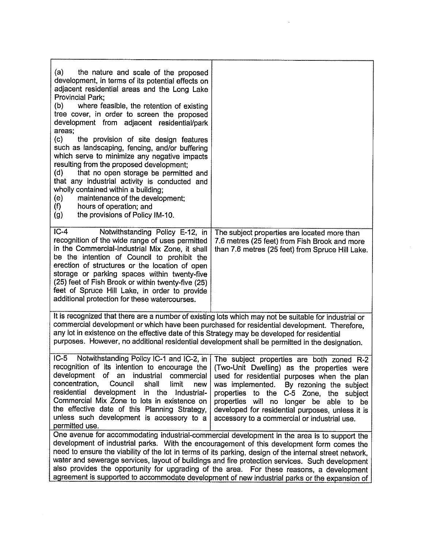| (a)<br>the nature and scale of the proposed<br>development, in terms of its potential effects on<br>adjacent residential areas and the Long Lake<br>Provincial Park;<br>(b)<br>where feasible, the retention of existing<br>tree cover, in order to screen the proposed<br>development from adjacent residential/park<br>areas:<br>(c)<br>the provision of site design features<br>such as landscaping, fencing, and/or buffering<br>which serve to minimize any negative impacts<br>resulting from the proposed development;<br>(d)<br>that no open storage be permitted and<br>that any industrial activity is conducted and<br>wholly contained within a building;<br>(e)<br>maintenance of the development;<br>hours of operation; and<br>(f)<br>the provisions of Policy IM-10.<br>(g) |                                                                                                                                                                                                                                                                                                                                                                                                                                                                                                        |
|---------------------------------------------------------------------------------------------------------------------------------------------------------------------------------------------------------------------------------------------------------------------------------------------------------------------------------------------------------------------------------------------------------------------------------------------------------------------------------------------------------------------------------------------------------------------------------------------------------------------------------------------------------------------------------------------------------------------------------------------------------------------------------------------|--------------------------------------------------------------------------------------------------------------------------------------------------------------------------------------------------------------------------------------------------------------------------------------------------------------------------------------------------------------------------------------------------------------------------------------------------------------------------------------------------------|
| $IC-4$<br>Notwithstanding Policy E-12, in<br>recognition of the wide range of uses permitted<br>in the Commercial-Industrial Mix Zone, it shall<br>be the intention of Council to prohibit the<br>erection of structures or the location of open<br>storage or parking spaces within twenty-five<br>(25) feet of Fish Brook or within twenty-five (25)<br>feet of Spruce Hill Lake, in order to provide<br>additional protection for these watercourses.                                                                                                                                                                                                                                                                                                                                    | The subject properties are located more than<br>7.6 metres (25 feet) from Fish Brook and more<br>than 7.6 metres (25 feet) from Spruce Hill Lake.                                                                                                                                                                                                                                                                                                                                                      |
| It is recognized that there are a number of existing lots which may not be suitable for industrial or<br>commercial development or which have been purchased for residential development. Therefore,<br>any lot in existence on the effective date of this Strategy may be developed for residential<br>purposes. However, no additional residential development shall be permitted in the designation.                                                                                                                                                                                                                                                                                                                                                                                     |                                                                                                                                                                                                                                                                                                                                                                                                                                                                                                        |
| Notwithstanding Policy IC-1 and IC-2, in<br>$IC-5$<br>recognition of its intention to encourage the<br>development of an industrial<br>commercial<br>concentration.<br>Council<br>shall<br>limit<br>new<br>residential development in the Industrial-<br>Commercial Mix Zone to lots in existence on<br>the effective date of this Planning Strategy,<br>unless such development is accessory to a<br>permitted use.                                                                                                                                                                                                                                                                                                                                                                        | The subject properties are both zoned R-2<br>(Two-Unit Dwelling) as the properties were<br>used for residential purposes when the plan<br>was implemented.<br>By rezoning the subject<br>properties to the C-5 Zone, the subject<br>properties will no longer be able to be<br>developed for residential purposes, unless it is<br>accessory to a commercial or industrial use.<br>One avenue for accommodating industrial-commercial development in the area is to support the                        |
|                                                                                                                                                                                                                                                                                                                                                                                                                                                                                                                                                                                                                                                                                                                                                                                             | development of industrial parks. With the encouragement of this development form comes the<br>need to ensure the viability of the lot in terms of its parking, design of the internal street network,<br>water and sewerage services, layout of buildings and fire protection services. Such development<br>also provides the opportunity for upgrading of the area. For these reasons, a development<br>agreement is supported to accommodate development of new industrial parks or the expansion of |

 $\label{eq:2.1} \begin{aligned} \mathbf{y} & = \mathbf{y} + \mathbf{y} \\ \mathbf{y} & = \mathbf{y} + \mathbf{y} \\ \mathbf{y} & = \mathbf{y} + \mathbf{y} \\ \mathbf{y} & = \mathbf{y} + \mathbf{y} \\ \mathbf{y} & = \mathbf{y} + \mathbf{y} \\ \mathbf{y} & = \mathbf{y} + \mathbf{y} \\ \mathbf{y} & = \mathbf{y} + \mathbf{y} \\ \mathbf{y} & = \mathbf{y} + \mathbf{y} \\ \mathbf{y} & = \mathbf{y} + \mathbf{y} \\ \mathbf{y} & =$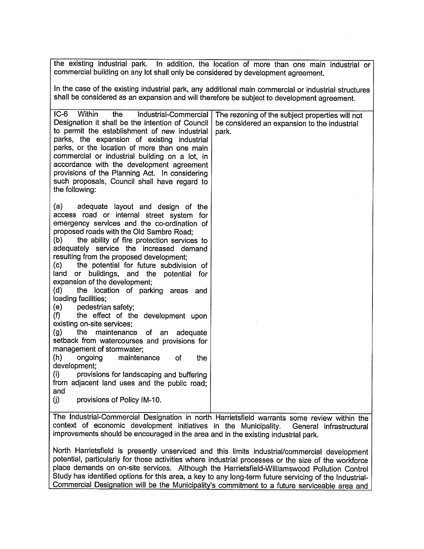the existing industrial park. In addition, the location of more than one main industrial or commercial building on any lot shall only be considered by development agreement.

In the case of the existing industrial park, any additional main commercial or industrial structures shall be considered as an expansion and will therefore be subject to development agreement.

| $IC-6$<br>Within<br>the<br>Industrial-Commercial<br>Designation it shall be the intention of Council<br>to permit the establishment of new industrial<br>parks, the expansion of existing<br>industrial<br>parks, or the location of more than one main<br>commercial or industrial building on a lot, in<br>accordance with the development agreement<br>provisions of the Planning Act. In considering<br>such proposals, Council shall have regard to<br>the following:                                                                                                                                                                                                                                                                                                                                                                                                                                                                                                                                  | The rezoning of the subject properties will not<br>be considered an expansion to the industrial<br>park. |
|-------------------------------------------------------------------------------------------------------------------------------------------------------------------------------------------------------------------------------------------------------------------------------------------------------------------------------------------------------------------------------------------------------------------------------------------------------------------------------------------------------------------------------------------------------------------------------------------------------------------------------------------------------------------------------------------------------------------------------------------------------------------------------------------------------------------------------------------------------------------------------------------------------------------------------------------------------------------------------------------------------------|----------------------------------------------------------------------------------------------------------|
| adequate layout and design of the<br>(a)<br>access road or internal street system for<br>emergency services and the co-ordination of<br>proposed roads with the Old Sambro Road;<br>(b)<br>the ability of fire protection services to<br>adequately service the increased demand<br>resulting from the proposed development;<br>$\left( \mathbf{c}\right)$<br>the potential for future subdivision of<br>or buildings, and the potential for<br>land<br>expansion of the development;<br>(d)<br>the location of parking areas and<br>loading facilities;<br>(e)<br>pedestrian safety;<br>the effect of the development upon<br>(f)<br>existing on-site services:<br>(g)<br>the.<br>maintenance of an<br>adequate<br>setback from watercourses and provisions for<br>management of stormwater;<br>(h)<br>ongoing<br>maintenance<br>оf<br>the<br>development;<br>(i)<br>provisions for landscaping and buffering<br>from adjacent land uses and the public road;<br>and<br>(j)<br>provisions of Policy IM-10. |                                                                                                          |
| context of economic development initiatives in the Municipality. Conoral infractructural                                                                                                                                                                                                                                                                                                                                                                                                                                                                                                                                                                                                                                                                                                                                                                                                                                                                                                                    | The Industrial-Commercial Designation in north Harrietsfield warrants some review within the             |

elopment initiatives in the Municipality. General infrastructural improvements should be encouraged in the area and in the existing industrial park.

North Harrietsfield is presently unserviced and this limits industrial/commercial development potential, particularly for those activities where industrial processes or the size of the workforce <sup>p</sup>lace demands on on-site services. Although the Harrietsfield-Williamswood Pollution Control Study has identified options for this area, a key to any long-term future servicing of the Industrial-Commercial Designation will be the Municipality's commitment to <sup>a</sup> future serviceable area and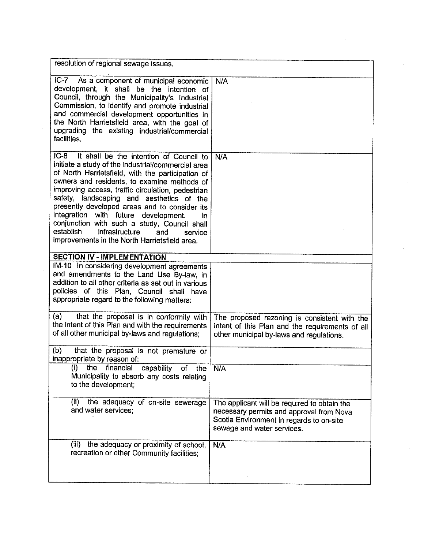| resolution of regional sewage issues.                                                                                                                                                                                                                                                                                                                                                                                                                                                                                                                           |                                                                                                                                                                    |
|-----------------------------------------------------------------------------------------------------------------------------------------------------------------------------------------------------------------------------------------------------------------------------------------------------------------------------------------------------------------------------------------------------------------------------------------------------------------------------------------------------------------------------------------------------------------|--------------------------------------------------------------------------------------------------------------------------------------------------------------------|
| IC-7 As a component of municipal economic<br>development, it shall be the intention of<br>Council, through the Municipality's Industrial<br>Commission, to identify and promote industrial<br>and commercial development opportunities in<br>the North Harrietsfield area, with the goal of<br>upgrading the existing industrial/commercial<br>facilities.                                                                                                                                                                                                      | N/A                                                                                                                                                                |
| $IC-8$<br>It shall be the intention of Council to<br>initiate a study of the industrial/commercial area<br>of North Harrietsfield, with the participation of<br>owners and residents, to examine methods of<br>improving access, traffic circulation, pedestrian<br>safety, landscaping and aesthetics of the<br>presently developed areas and to consider its<br>integration with future development.<br>In.<br>conjunction with such a study, Council shall<br>establish<br>infrastructure<br>and<br>service<br>improvements in the North Harrietsfield area. | N/A                                                                                                                                                                |
| <b>SECTION IV - IMPLEMENTATION</b>                                                                                                                                                                                                                                                                                                                                                                                                                                                                                                                              |                                                                                                                                                                    |
| IM-10 In considering development agreements<br>and amendments to the Land Use By-law, in<br>addition to all other criteria as set out in various<br>policies of this Plan, Council shall have<br>appropriate regard to the following matters:                                                                                                                                                                                                                                                                                                                   |                                                                                                                                                                    |
| (a)<br>that the proposal is in conformity with<br>the intent of this Plan and with the requirements<br>of all other municipal by-laws and regulations;                                                                                                                                                                                                                                                                                                                                                                                                          | The proposed rezoning is consistent with the<br>intent of this Plan and the requirements of all<br>other municipal by-laws and regulations.                        |
| (b)<br>that the proposal is not premature or<br>inappropriate by reason of:                                                                                                                                                                                                                                                                                                                                                                                                                                                                                     |                                                                                                                                                                    |
| (i)<br>the financial capability of the<br>Municipality to absorb any costs relating<br>to the development;                                                                                                                                                                                                                                                                                                                                                                                                                                                      | N/A                                                                                                                                                                |
| the adequacy of on-site sewerage<br>(ii)<br>and water services;                                                                                                                                                                                                                                                                                                                                                                                                                                                                                                 | The applicant will be required to obtain the<br>necessary permits and approval from Nova<br>Scotia Environment in regards to on-site<br>sewage and water services. |
| (iii)<br>the adequacy or proximity of school,<br>recreation or other Community facilities;                                                                                                                                                                                                                                                                                                                                                                                                                                                                      | N/A                                                                                                                                                                |

 $\mathcal{A}^{\mathcal{A}}$ 

 $\mathcal{L}^{\text{max}}_{\text{max}}$  and  $\mathcal{L}^{\text{max}}_{\text{max}}$